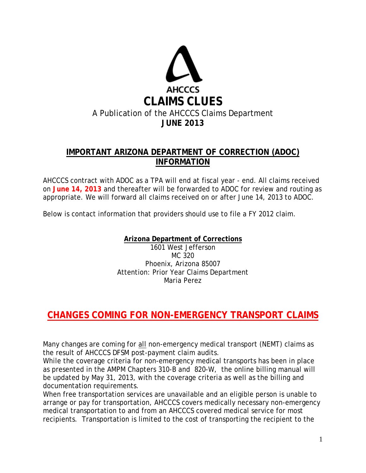

## **IMPORTANT ARIZONA DEPARTMENT OF CORRECTION (ADOC) INFORMATION**

AHCCCS contract with ADOC as a TPA will end at fiscal year - end. All claims received on **June 14, 2013** and thereafter will be forwarded to ADOC for review and routing as appropriate. We will forward all claims received on or after June 14, 2013 to ADOC.

Below is contact information that providers should use to file a FY 2012 claim.

**Arizona Department of Corrections**

1601 West Jefferson MC 320 Phoenix, Arizona 85007 Attention: Prior Year Claims Department Maria Perez

# **CHANGES COMING FOR NON-EMERGENCY TRANSPORT CLAIMS**

Many changes are coming for all non-emergency medical transport (NEMT) claims as the result of AHCCCS DFSM post-payment claim audits.

While the coverage criteria for non-emergency medical transports has been in place as presented in the AMPM Chapters 310-B and 820-W, the online billing manual will be updated by May 31, 2013, with the coverage criteria as well as the billing and documentation requirements.

When free transportation services are unavailable and an eligible person is unable to arrange or pay for transportation, AHCCCS covers medically necessary non-emergency medical transportation to and from an AHCCCS covered medical service for most recipients. Transportation is limited to the cost of transporting the recipient to the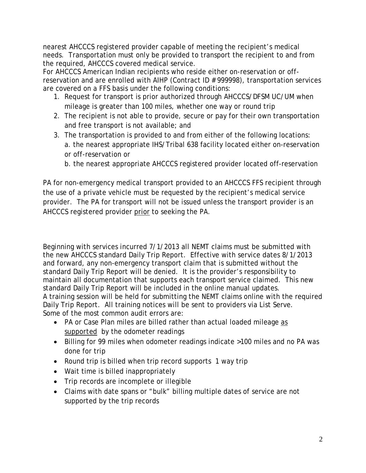nearest AHCCCS registered provider capable of meeting the recipient's medical needs. Transportation must only be provided to transport the recipient to and from the required, AHCCCS covered medical service.

For AHCCCS American Indian recipients who reside either on-reservation or offreservation and are enrolled with AIHP (Contract ID # 999998), transportation services are covered on a FFS basis under the following conditions:

- 1. Request for transport is prior authorized through AHCCCS/DFSM UC/UM when mileage is greater than 100 miles, whether one way or round trip
- 2. The recipient is not able to provide, secure or pay for their own transportation and free transport is not available; and
- 3. The transportation is provided to and from either of the following locations: a. the nearest appropriate IHS/Tribal 638 facility located either on-reservation or off-reservation or
	- b. the nearest appropriate AHCCCS registered provider located off-reservation

PA for non-emergency medical transport provided to an AHCCCS FFS recipient through the use of a private vehicle must be requested by the recipient's medical service provider. The PA for transport will not be issued unless the transport provider is an AHCCCS registered provider prior to seeking the PA.

Beginning with services incurred 7/1/2013 all NEMT claims must be submitted with the new AHCCCS standard Daily Trip Report. Effective with service dates 8/1/2013 and forward, any non-emergency transport claim that is submitted without the standard Daily Trip Report will be denied. It is the provider's responsibility to maintain all documentation that supports each transport service claimed. This new standard Daily Trip Report will be included in the online manual updates. A training session will be held for submitting the NEMT claims online with the required Daily Trip Report. All training notices will be sent to providers via List Serve. Some of the most common audit errors are:

- PA or Case Plan miles are billed rather than actual loaded mileage *as supported* by the odometer readings
- Billing for 99 miles when odometer readings indicate >100 miles and no PA was done for trip
- Round trip is billed when trip record supports 1 way trip
- Wait time is billed inappropriately
- Trip records are incomplete or illegible
- Claims with date spans or "bulk" billing multiple dates of service are not supported by the trip records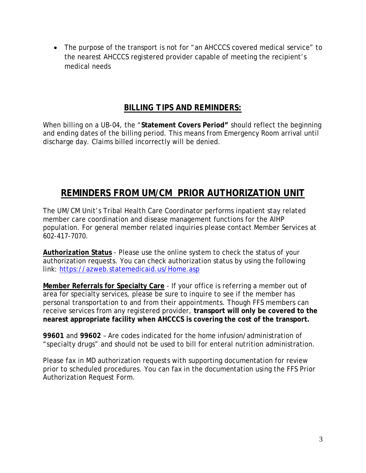• The purpose of the transport is not for "an AHCCCS covered medical service" to the nearest AHCCCS registered provider capable of meeting the recipient's medical needs

### *BILLING TIPS AND REMINDERS:*

When billing on a UB-04, the "**Statement Covers Period"** should reflect the beginning and ending dates of the billing period. This means from Emergency Room arrival until discharge day. Claims billed incorrectly will be denied.

# **REMINDERS FROM UM/CM PRIOR AUTHORIZATION UNIT**

The UM/CM Unit's Tribal Health Care Coordinator performs inpatient stay related member care coordination and disease management functions for the AIHP population. For general member related inquiries please contact Member Services at 602-417-7070.

**Authorization Status** - Please use the online system to check the status of your authorization requests. You can check authorization status by using the following link:<https://azweb.statemedicaid.us/Home.asp>

**Member Referrals for Specialty Care** - If your office is referring a member out of area for specialty services, please be sure to inquire to see if the member has personal transportation to and from their appointments. Though FFS members can receive services from any registered provider, **transport will only be covered to the nearest appropriate facility when AHCCCS is covering the cost of the transport.** 

**99601** and **99602** – Are codes indicated for the home infusion/administration of "specialty drugs" and should not be used to bill for enteral nutrition administration.

Please fax in MD authorization requests with supporting documentation for review prior to scheduled procedures. You can fax in the documentation using the FFS Prior Authorization Request Form.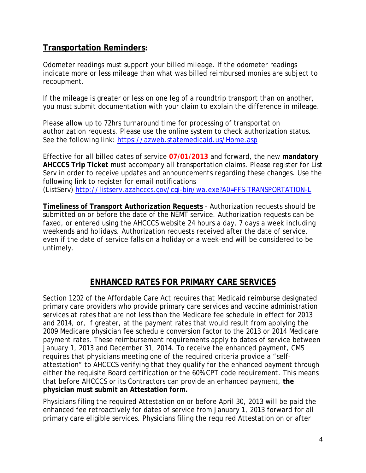#### **Transportation Reminders:**

Odometer readings must support your billed mileage. If the odometer readings indicate more or less mileage than what was billed reimbursed monies are subject to recoupment.

If the mileage is greater or less on one leg of a roundtrip transport than on another, you must submit documentation with your claim to explain the difference in mileage.

Please allow up to 72hrs turnaround time for processing of transportation authorization requests. Please use the online system to check authorization status. See the following link:<https://azweb.statemedicaid.us/Home.asp>

Effective for all billed dates of service **07/01/2013** and forward, the new **mandatory AHCCCS Trip Ticket** must accompany all transportation claims. Please register for List Serv in order to receive updates and announcements regarding these changes. Use the following link to register for email notifications (ListServ)<http://listserv.azahcccs.gov/cgi-bin/wa.exe?A0=FFS-TRANSPORTATION-L>

**Timeliness of Transport Authorization Requests** - Authorization requests should be submitted on or before the date of the NEMT service. Authorization requests can be faxed, or entered using the AHCCCS website 24 hours a day, 7 days a week *including weekends and holidays*. Authorization requests received after the date of service, even if the date of service falls on a holiday or a week-end will be considered to be untimely.

## **ENHANCED RATES FOR PRIMARY CARE SERVICES**

Section 1202 of the Affordable Care Act requires that Medicaid reimburse designated primary care providers who provide primary care services and vaccine administration services at rates that are not less than the Medicare fee schedule in effect for 2013 and 2014, or, if greater, at the payment rates that would result from applying the 2009 Medicare physician fee schedule conversion factor to the 2013 or 2014 Medicare payment rates. These reimbursement requirements apply to dates of service between January 1, 2013 and December 31, 2014. To receive the enhanced payment, CMS requires that physicians meeting one of the required criteria provide a "selfattestation" to AHCCCS verifying that they qualify for the enhanced payment through either the requisite Board certification or the 60% CPT code requirement. This means that before AHCCCS or its Contractors can provide an enhanced payment, **the physician must submit an Attestation form.** 

Physicians filing the required Attestation on or before April 30, 2013 will be paid the enhanced fee retroactively for dates of service from January 1, 2013 forward for all primary care eligible services. Physicians filing the required Attestation on or after